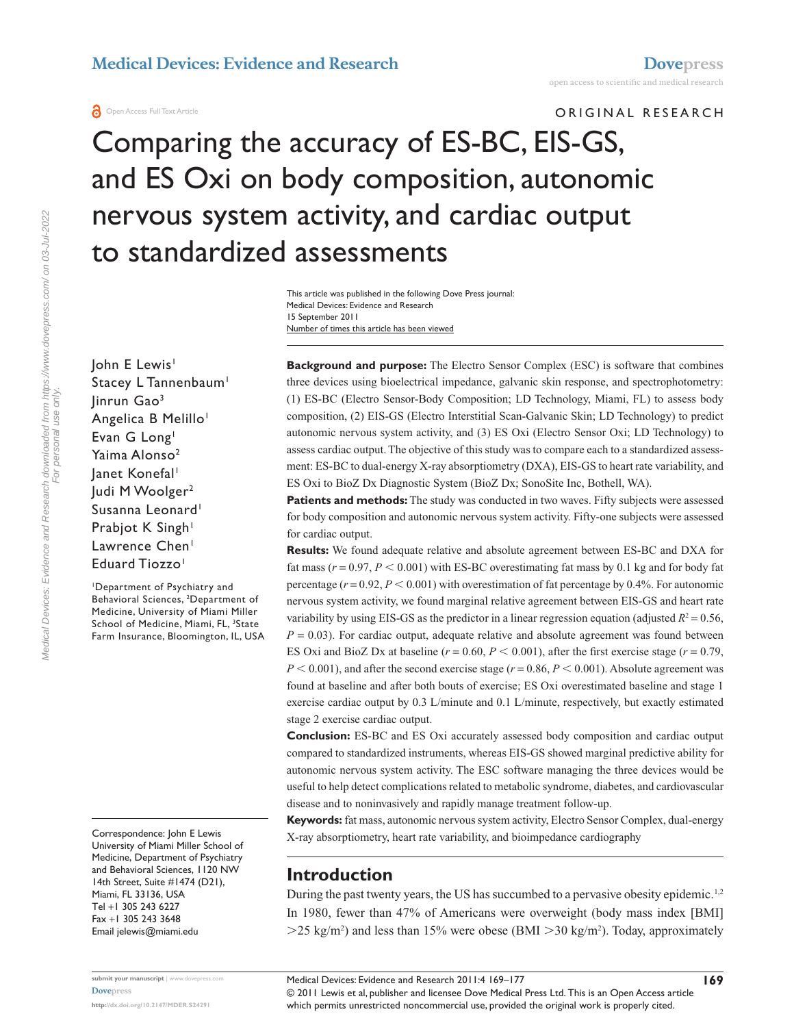ORIGINAL RESEARCH

# Comparing the accuracy of ES-BC, EIS-GS, and ES Oxi on body composition, autonomic nervous system activity, and cardiac output to standardized assessments

Number of times this article has been viewed This article was published in the following Dove Press journal: Medical Devices: Evidence and Research 15 September 2011

John E Lewis<sup>1</sup> Stacey L Tannenbaum<sup>1</sup> Jinrun Gao3 Angelica B Melillo<sup>1</sup> Evan G Long<sup>1</sup> Yaima Alonso<sup>2</sup> Janet Konefal<sup>1</sup> Judi M Woolger<sup>2</sup> Susanna Leonard<sup>1</sup> Prabjot K Singh<sup>1</sup> Lawrence Chen<sup>1</sup> Eduard Tiozzo<sup>1</sup>

1 Department of Psychiatry and Behavioral Sciences, 2 Department of Medicine, University of Miami Miller School of Medicine, Miami, FL, <sup>3</sup>State Farm Insurance, Bloomington, IL, USA

Correspondence: John E Lewis University of Miami Miller School of Medicine, Department of Psychiatry and Behavioral Sciences, 1120 NW 14th Street, Suite #1474 (D21), Miami, FL 33136, USA Tel +1 305 243 6227 Fax +1 305 243 3648 Email [jelewis@miami.edu](mailto:jelewis@miami.edu)

**Background and purpose:** The Electro Sensor Complex (ESC) is software that combines three devices using bioelectrical impedance, galvanic skin response, and spectrophotometry: (1) ES-BC (Electro Sensor-Body Composition; LD Technology, Miami, FL) to assess body composition, (2) EIS-GS (Electro Interstitial Scan-Galvanic Skin; LD Technology) to predict autonomic nervous system activity, and (3) ES Oxi (Electro Sensor Oxi; LD Technology) to assess cardiac output. The objective of this study was to compare each to a standardized assessment: ES-BC to dual-energy X-ray absorptiometry (DXA), EIS-GS to heart rate variability, and ES Oxi to BioZ Dx Diagnostic System (BioZ Dx; SonoSite Inc, Bothell, WA).

**Patients and methods:** The study was conducted in two waves. Fifty subjects were assessed for body composition and autonomic nervous system activity. Fifty-one subjects were assessed for cardiac output.

**Results:** We found adequate relative and absolute agreement between ES-BC and DXA for fat mass ( $r = 0.97$ ,  $P < 0.001$ ) with ES-BC overestimating fat mass by 0.1 kg and for body fat percentage  $(r = 0.92, P < 0.001)$  with overestimation of fat percentage by 0.4%. For autonomic nervous system activity, we found marginal relative agreement between EIS-GS and heart rate variability by using EIS-GS as the predictor in a linear regression equation (adjusted  $R^2 = 0.56$ ,  $P = 0.03$ ). For cardiac output, adequate relative and absolute agreement was found between ES Oxi and BioZ Dx at baseline ( $r = 0.60$ ,  $P < 0.001$ ), after the first exercise stage ( $r = 0.79$ ,  $P < 0.001$ ), and after the second exercise stage ( $r = 0.86$ ,  $P < 0.001$ ). Absolute agreement was found at baseline and after both bouts of exercise; ES Oxi overestimated baseline and stage 1 exercise cardiac output by 0.3 L/minute and 0.1 L/minute, respectively, but exactly estimated stage 2 exercise cardiac output.

**Conclusion:** ES-BC and ES Oxi accurately assessed body composition and cardiac output compared to standardized instruments, whereas EIS-GS showed marginal predictive ability for autonomic nervous system activity. The ESC software managing the three devices would be useful to help detect complications related to metabolic syndrome, diabetes, and cardiovascular disease and to noninvasively and rapidly manage treatment follow-up.

**Keywords:** fat mass, autonomic nervous system activity, Electro Sensor Complex, dual-energy X-ray absorptiometry, heart rate variability, and bioimpedance cardiography

# **Introduction**

During the past twenty years, the US has succumbed to a pervasive obesity epidemic.<sup>1,2</sup> In 1980, fewer than 47% of Americans were overweight (body mass index [BMI]  $>$ 25 kg/m<sup>2</sup>) and less than 15% were obese (BMI  $>$  30 kg/m<sup>2</sup>). Today, approximately

© 2011 Lewis et al, publisher and licensee Dove Medical Press Ltd. This is an Open Access article which permits unrestricted noncommercial use, provided the original work is properly cited.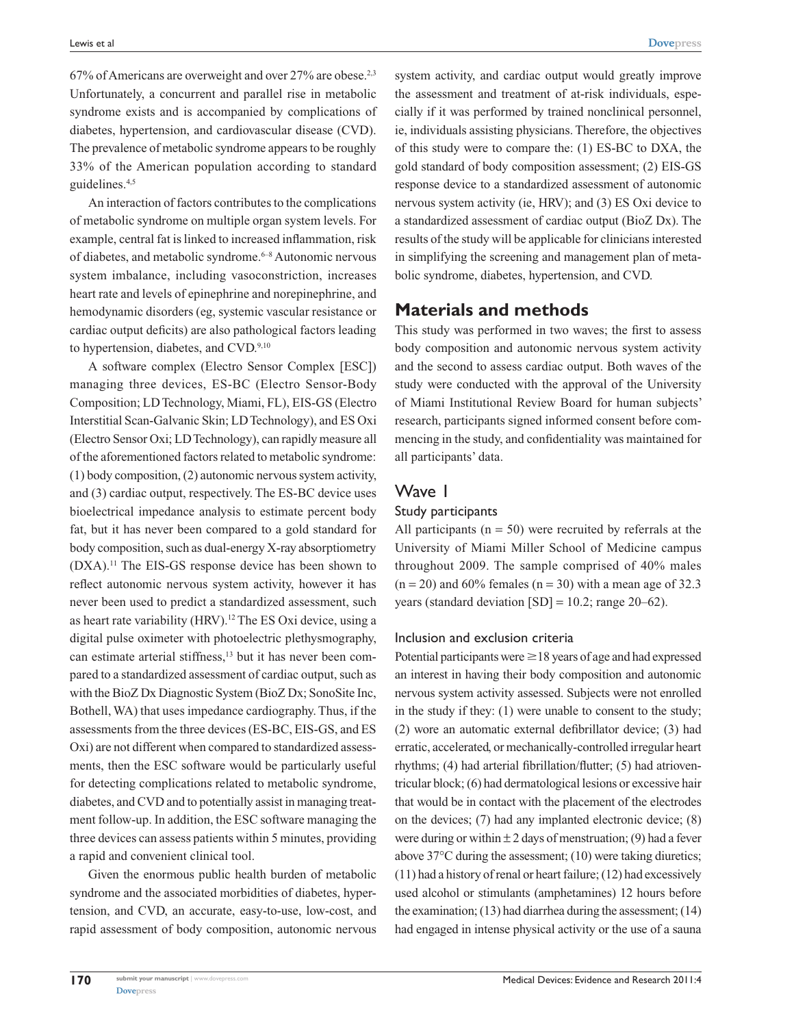$67\%$  of Americans are overweight and over 27% are obese.<sup>2,3</sup> Unfortunately, a concurrent and parallel rise in metabolic syndrome exists and is accompanied by complications of diabetes, hypertension, and cardiovascular disease (CVD). The prevalence of metabolic syndrome appears to be roughly 33% of the American population according to standard guidelines.4,5

An interaction of factors contributes to the complications of metabolic syndrome on multiple organ system levels. For example, central fat is linked to increased inflammation, risk of diabetes, and metabolic syndrome.<sup>6-8</sup> Autonomic nervous system imbalance, including vasoconstriction, increases heart rate and levels of epinephrine and norepinephrine, and hemodynamic disorders (eg, systemic vascular resistance or cardiac output deficits) are also pathological factors leading to hypertension, diabetes, and CVD.<sup>9,10</sup>

A software complex (Electro Sensor Complex [ESC]) managing three devices, ES-BC (Electro Sensor-Body Composition; LD Technology, Miami, FL), EIS-GS (Electro Interstitial Scan-Galvanic Skin; LD Technology), and ES Oxi (Electro Sensor Oxi; LD Technology), can rapidly measure all of the aforementioned factors related to metabolic syndrome: (1) body composition, (2) autonomic nervous system activity, and (3) cardiac output, respectively. The ES-BC device uses bioelectrical impedance analysis to estimate percent body fat, but it has never been compared to a gold standard for body composition, such as dual-energy X-ray absorptiometry (DXA).11 The EIS-GS response device has been shown to reflect autonomic nervous system activity, however it has never been used to predict a standardized assessment, such as heart rate variability (HRV).12 The ES Oxi device, using a digital pulse oximeter with photoelectric plethysmography, can estimate arterial stiffness,<sup>13</sup> but it has never been compared to a standardized assessment of cardiac output, such as with the BioZ Dx Diagnostic System (BioZ Dx; SonoSite Inc, Bothell, WA) that uses impedance cardiography. Thus, if the assessments from the three devices (ES-BC, EIS-GS, and ES Oxi) are not different when compared to standardized assessments, then the ESC software would be particularly useful for detecting complications related to metabolic syndrome, diabetes, and CVD and to potentially assist in managing treatment follow-up. In addition, the ESC software managing the three devices can assess patients within 5 minutes, providing a rapid and convenient clinical tool.

Given the enormous public health burden of metabolic syndrome and the associated morbidities of diabetes, hypertension, and CVD, an accurate, easy-to-use, low-cost, and rapid assessment of body composition, autonomic nervous system activity, and cardiac output would greatly improve the assessment and treatment of at-risk individuals, especially if it was performed by trained nonclinical personnel, ie, individuals assisting physicians. Therefore, the objectives of this study were to compare the: (1) ES-BC to DXA, the gold standard of body composition assessment; (2) EIS-GS response device to a standardized assessment of autonomic nervous system activity (ie, HRV); and (3) ES Oxi device to a standardized assessment of cardiac output (BioZ Dx). The results of the study will be applicable for clinicians interested in simplifying the screening and management plan of metabolic syndrome, diabetes, hypertension, and CVD.

# **Materials and methods**

This study was performed in two waves; the first to assess body composition and autonomic nervous system activity and the second to assess cardiac output. Both waves of the study were conducted with the approval of the University of Miami Institutional Review Board for human subjects' research, participants signed informed consent before commencing in the study, and confidentiality was maintained for all participants' data.

# Wave 1

## Study participants

All participants ( $n = 50$ ) were recruited by referrals at the University of Miami Miller School of Medicine campus throughout 2009. The sample comprised of 40% males  $(n = 20)$  and 60% females  $(n = 30)$  with a mean age of 32.3 years (standard deviation  $[SD] = 10.2$ ; range 20–62).

# Inclusion and exclusion criteria

Potential participants were  $\geq$  18 years of age and had expressed an interest in having their body composition and autonomic nervous system activity assessed. Subjects were not enrolled in the study if they: (1) were unable to consent to the study; (2) wore an automatic external defibrillator device; (3) had erratic, accelerated, or mechanically-controlled irregular heart rhythms; (4) had arterial fibrillation/flutter; (5) had atrioventricular block; (6) had dermatological lesions or excessive hair that would be in contact with the placement of the electrodes on the devices; (7) had any implanted electronic device; (8) were during or within  $\pm 2$  days of menstruation; (9) had a fever above 37°C during the assessment; (10) were taking diuretics; (11) had a history of renal or heart failure; (12) had excessively used alcohol or stimulants (amphetamines) 12 hours before the examination; (13) had diarrhea during the assessment; (14) had engaged in intense physical activity or the use of a sauna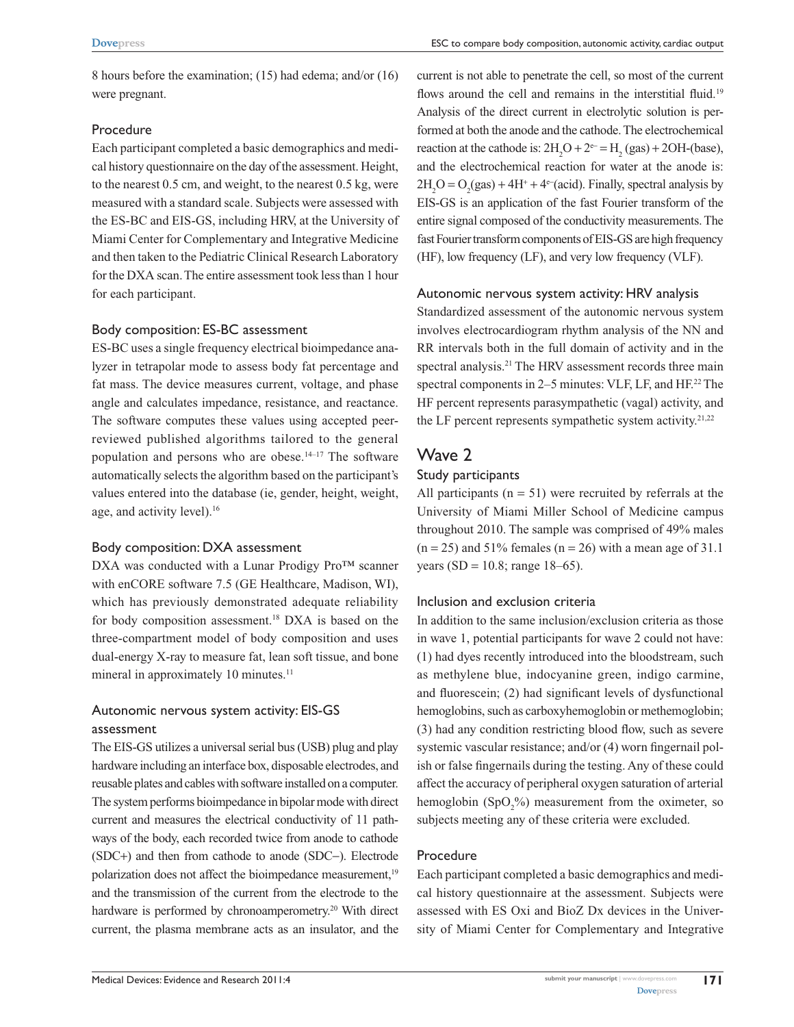8 hours before the examination; (15) had edema; and/or (16) were pregnant.

#### Procedure

Each participant completed a basic demographics and medical history questionnaire on the day of the assessment. Height, to the nearest 0.5 cm, and weight, to the nearest 0.5 kg, were measured with a standard scale. Subjects were assessed with the ES-BC and EIS-GS, including HRV, at the University of Miami Center for Complementary and Integrative Medicine and then taken to the Pediatric Clinical Research Laboratory for the DXA scan. The entire assessment took less than 1 hour for each participant.

## Body composition: ES-BC assessment

ES-BC uses a single frequency electrical bioimpedance analyzer in tetrapolar mode to assess body fat percentage and fat mass. The device measures current, voltage, and phase angle and calculates impedance, resistance, and reactance. The software computes these values using accepted peerreviewed published algorithms tailored to the general population and persons who are obese. $14-17$  The software automatically selects the algorithm based on the participant's values entered into the database (ie, gender, height, weight, age, and activity level).<sup>16</sup>

## Body composition: DXA assessment

DXA was conducted with a Lunar Prodigy Pro™ scanner with enCORE software 7.5 (GE Healthcare, Madison, WI), which has previously demonstrated adequate reliability for body composition assessment.<sup>18</sup> DXA is based on the three-compartment model of body composition and uses dual-energy X-ray to measure fat, lean soft tissue, and bone mineral in approximately 10 minutes.<sup>11</sup>

# Autonomic nervous system activity: EIS-GS assessment

The EIS-GS utilizes a universal serial bus (USB) plug and play hardware including an interface box, disposable electrodes, and reusable plates and cables with software installed on a computer. The system performs bioimpedance in bipolar mode with direct current and measures the electrical conductivity of 11 pathways of the body, each recorded twice from anode to cathode (SDC+) and then from cathode to anode (SDC-). Electrode polarization does not affect the bioimpedance measurement,<sup>19</sup> and the transmission of the current from the electrode to the hardware is performed by chronoamperometry.<sup>20</sup> With direct current, the plasma membrane acts as an insulator, and the

current is not able to penetrate the cell, so most of the current flows around the cell and remains in the interstitial fluid.<sup>19</sup> Analysis of the direct current in electrolytic solution is performed at both the anode and the cathode. The electrochemical reaction at the cathode is:  $2H_2O + 2e^- = H_2(gas) + 2OH$ -(base), and the electrochemical reaction for water at the anode is:  $2H_2O = O_2(gas) + 4H^+ + 4^\circ$  (acid). Finally, spectral analysis by EIS-GS is an application of the fast Fourier transform of the entire signal composed of the conductivity measurements. The fast Fourier transform components of EIS-GS are high frequency (HF), low frequency (LF), and very low frequency (VLF).

## Autonomic nervous system activity: HRV analysis

Standardized assessment of the autonomic nervous system involves electrocardiogram rhythm analysis of the NN and RR intervals both in the full domain of activity and in the spectral analysis.<sup>21</sup> The HRV assessment records three main spectral components in 2–5 minutes: VLF, LF, and HF.<sup>22</sup> The HF percent represents parasympathetic (vagal) activity, and the LF percent represents sympathetic system activity.<sup>21,22</sup>

# Wave 2

## Study participants

All participants  $(n = 51)$  were recruited by referrals at the University of Miami Miller School of Medicine campus throughout 2010. The sample was comprised of 49% males  $(n = 25)$  and 51% females  $(n = 26)$  with a mean age of 31.1 years (SD = 10.8; range 18–65).

## Inclusion and exclusion criteria

In addition to the same inclusion/exclusion criteria as those in wave 1, potential participants for wave 2 could not have: (1) had dyes recently introduced into the bloodstream, such as methylene blue, indocyanine green, indigo carmine, and fluorescein; (2) had significant levels of dysfunctional hemoglobins, such as carboxyhemoglobin or methemoglobin; (3) had any condition restricting blood flow, such as severe systemic vascular resistance; and/or (4) worn fingernail polish or false fingernails during the testing. Any of these could affect the accuracy of peripheral oxygen saturation of arterial hemoglobin  $(SpO<sub>2</sub>%)$  measurement from the oximeter, so subjects meeting any of these criteria were excluded.

## Procedure

Each participant completed a basic demographics and medical history questionnaire at the assessment. Subjects were assessed with ES Oxi and BioZ Dx devices in the University of Miami Center for Complementary and Integrative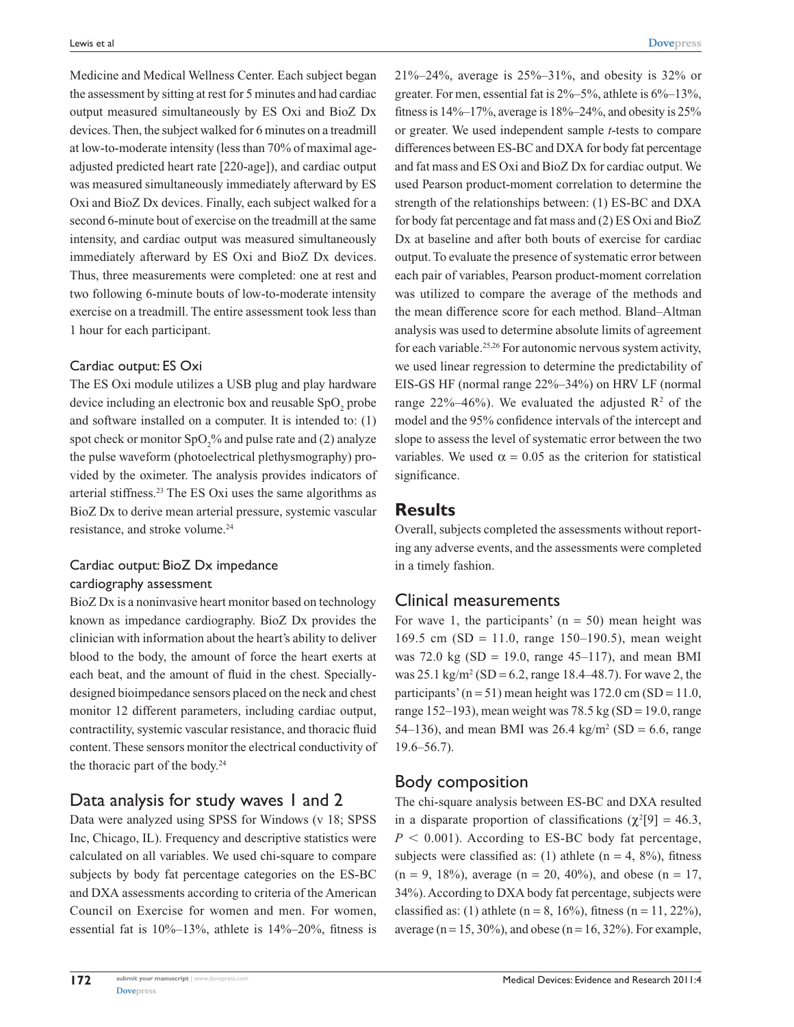Medicine and Medical Wellness Center. Each subject began the assessment by sitting at rest for 5 minutes and had cardiac output measured simultaneously by ES Oxi and BioZ Dx devices. Then, the subject walked for 6 minutes on a treadmill at low-to-moderate intensity (less than 70% of maximal ageadjusted predicted heart rate [220-age]), and cardiac output was measured simultaneously immediately afterward by ES Oxi and BioZ Dx devices. Finally, each subject walked for a second 6-minute bout of exercise on the treadmill at the same intensity, and cardiac output was measured simultaneously immediately afterward by ES Oxi and BioZ Dx devices. Thus, three measurements were completed: one at rest and two following 6-minute bouts of low-to-moderate intensity exercise on a treadmill. The entire assessment took less than 1 hour for each participant.

#### Cardiac output: ES Oxi

The ES Oxi module utilizes a USB plug and play hardware device including an electronic box and reusable  $SpO<sub>2</sub>$  probe and software installed on a computer. It is intended to: (1) spot check or monitor  $SpO_2^o$  and pulse rate and (2) analyze the pulse waveform (photoelectrical plethysmography) provided by the oximeter. The analysis provides indicators of arterial stiffness.23 The ES Oxi uses the same algorithms as BioZ Dx to derive mean arterial pressure, systemic vascular resistance, and stroke volume.<sup>24</sup>

# Cardiac output: BioZ Dx impedance cardiography assessment

BioZ Dx is a noninvasive heart monitor based on technology known as impedance cardiography. BioZ Dx provides the clinician with information about the heart's ability to deliver blood to the body, the amount of force the heart exerts at each beat, and the amount of fluid in the chest. Speciallydesigned bioimpedance sensors placed on the neck and chest monitor 12 different parameters, including cardiac output, contractility, systemic vascular resistance, and thoracic fluid content. These sensors monitor the electrical conductivity of the thoracic part of the body.<sup>24</sup>

# Data analysis for study waves 1 and 2

Data were analyzed using SPSS for Windows (v 18; SPSS Inc, Chicago, IL). Frequency and descriptive statistics were calculated on all variables. We used chi-square to compare subjects by body fat percentage categories on the ES-BC and DXA assessments according to criteria of the American Council on Exercise for women and men. For women, essential fat is 10%–13%, athlete is 14%–20%, fitness is 21%–24%, average is 25%–31%, and obesity is 32% or greater. For men, essential fat is  $2\% - 5\%$ , athlete is  $6\% - 13\%$ , fitness is  $14\%$ –17%, average is  $18\%$ –24%, and obesity is 25% or greater. We used independent sample *t*-tests to compare differences between ES-BC and DXA for body fat percentage and fat mass and ES Oxi and BioZ Dx for cardiac output. We used Pearson product-moment correlation to determine the strength of the relationships between: (1) ES-BC and DXA for body fat percentage and fat mass and (2) ES Oxi and BioZ Dx at baseline and after both bouts of exercise for cardiac output. To evaluate the presence of systematic error between each pair of variables, Pearson product-moment correlation was utilized to compare the average of the methods and the mean difference score for each method. Bland–Altman analysis was used to determine absolute limits of agreement for each variable.25,26 For autonomic nervous system activity, we used linear regression to determine the predictability of EIS-GS HF (normal range 22%–34%) on HRV LF (normal range 22%–46%). We evaluated the adjusted  $\mathbb{R}^2$  of the model and the 95% confidence intervals of the intercept and slope to assess the level of systematic error between the two variables. We used  $\alpha = 0.05$  as the criterion for statistical significance.

# **Results**

Overall, subjects completed the assessments without reporting any adverse events, and the assessments were completed in a timely fashion.

# Clinical measurements

For wave 1, the participants'  $(n = 50)$  mean height was 169.5 cm (SD = 11.0, range 150–190.5), mean weight was 72.0 kg (SD = 19.0, range 45–117), and mean BMI was  $25.1 \text{ kg/m}^2 \text{ (SD} = 6.2, \text{range } 18.4{\text{--}}48.7)$ . For wave 2, the participants' ( $n = 51$ ) mean height was 172.0 cm (SD = 11.0, range 152–193), mean weight was 78.5 kg (SD = 19.0, range 54–136), and mean BMI was  $26.4 \text{ kg/m}^2 \text{ (SD} = 6.6, \text{ range}$ 19.6–56.7).

# Body composition

The chi-square analysis between ES-BC and DXA resulted in a disparate proportion of classifications ( $\chi^2[9] = 46.3$ ,  $P < 0.001$ ). According to ES-BC body fat percentage, subjects were classified as: (1) athlete ( $n = 4$ , 8%), fitness  $(n = 9, 18\%)$ , average  $(n = 20, 40\%)$ , and obese  $(n = 17, 18\%)$ 34%). According to DXA body fat percentage, subjects were classified as: (1) athlete ( $n = 8$ , 16%), fitness ( $n = 11, 22\%$ ), average ( $n = 15$ , 30%), and obese ( $n = 16$ , 32%). For example,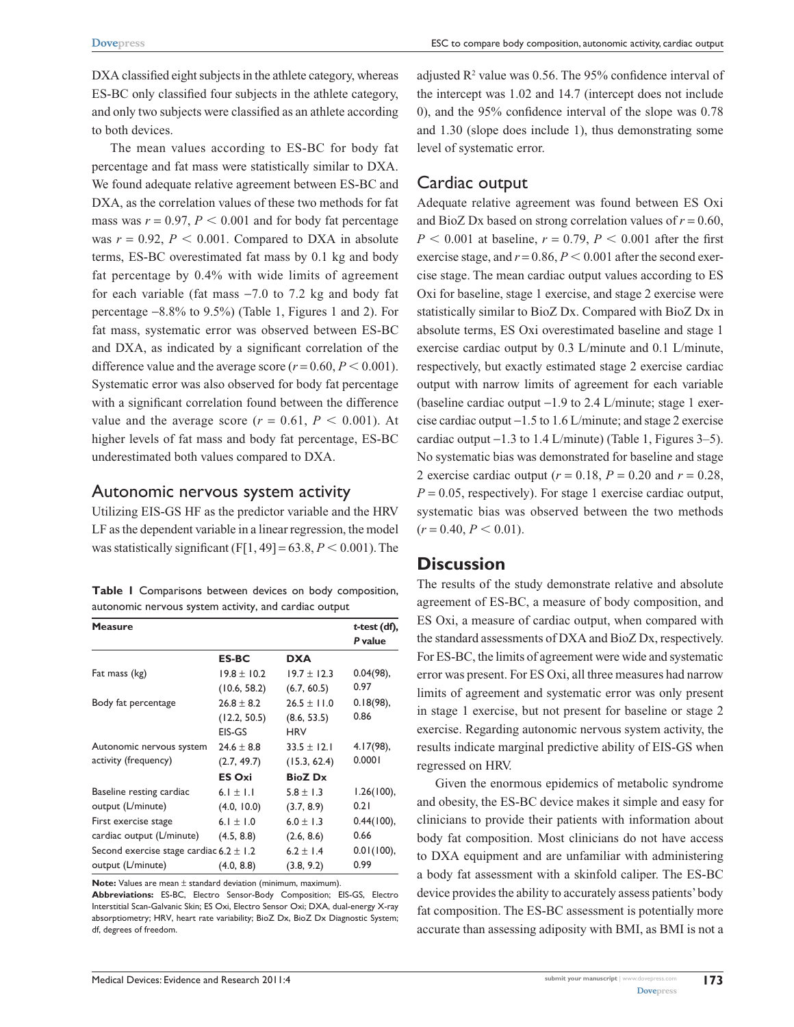DXA classified eight subjects in the athlete category, whereas ES-BC only classified four subjects in the athlete category, and only two subjects were classified as an athlete according to both devices.

The mean values according to ES-BC for body fat percentage and fat mass were statistically similar to DXA. We found adequate relative agreement between ES-BC and DXA, as the correlation values of these two methods for fat mass was  $r = 0.97$ ,  $P < 0.001$  and for body fat percentage was  $r = 0.92$ ,  $P < 0.001$ . Compared to DXA in absolute terms, ES-BC overestimated fat mass by 0.1 kg and body fat percentage by 0.4% with wide limits of agreement for each variable (fat mass −7.0 to 7.2 kg and body fat percentage −8.8% to 9.5%) (Table 1, Figures 1 and 2). For fat mass, systematic error was observed between ES-BC and DXA, as indicated by a significant correlation of the difference value and the average score  $(r = 0.60, P \le 0.001)$ . Systematic error was also observed for body fat percentage with a significant correlation found between the difference value and the average score ( $r = 0.61$ ,  $P < 0.001$ ). At higher levels of fat mass and body fat percentage, ES-BC underestimated both values compared to DXA.

## Autonomic nervous system activity

Utilizing EIS-GS HF as the predictor variable and the HRV LF as the dependent variable in a linear regression, the model was statistically significant  $(F[1, 49] = 63.8, P < 0.001)$ . The

**Table 1** Comparisons between devices on body composition, autonomic nervous system activity, and cardiac output

| <b>Measure</b>                              |                 |                 | t-test (df), |
|---------------------------------------------|-----------------|-----------------|--------------|
|                                             |                 |                 | P value      |
|                                             | <b>ES-BC</b>    | <b>DXA</b>      |              |
| Fat mass (kg)                               | $19.8 \pm 10.2$ | $19.7 \pm 12.3$ | 0.04(98),    |
|                                             | (10.6, 58.2)    | (6.7, 60.5)     | 0.97         |
| Body fat percentage                         | $26.8 \pm 8.2$  | $26.5 \pm 11.0$ | 0.18(98),    |
|                                             | (12.2, 50.5)    | (8.6, 53.5)     | 0.86         |
|                                             | EIS-GS          | <b>HRV</b>      |              |
| Autonomic nervous system                    | $24.6 \pm 8.8$  | $33.5 \pm 12.1$ | $4.17(98)$ , |
| activity (frequency)                        | (2.7, 49.7)     | (15.3, 62.4)    | 0.0001       |
|                                             | <b>ES Oxi</b>   | <b>BioZ</b> Dx  |              |
| Baseline resting cardiac                    | 6.1 ± 1.1       | $5.8 \pm 1.3$   | 1.26(100),   |
| output (L/minute)                           | (4.0, 10.0)     | (3.7, 8.9)      | 0.21         |
| First exercise stage                        | 6.1 $\pm$ 1.0   | 6.0 $\pm$ 1.3   | 0.44(100),   |
| cardiac output (L/minute)                   | (4.5, 8.8)      | (2.6, 8.6)      | 0.66         |
| Second exercise stage cardiac $6.2 \pm 1.2$ |                 | $6.2 \pm 1.4$   | 0.01(100),   |
| output (L/minute)                           | (4.0, 8.8)      | (3.8, 9.2)      | 0.99         |

**Note:** Values are mean ± standard deviation (minimum, maximum).

**Abbreviations:** ES-BC, Electro Sensor-Body Composition; EIS-GS, Electro Interstitial Scan-Galvanic Skin; ES Oxi, Electro Sensor Oxi; DXA, dual-energy X-ray absorptiometry; HRV, heart rate variability; BioZ Dx, BioZ Dx Diagnostic System; df, degrees of freedom.

adjusted  $\mathbb{R}^2$  value was 0.56. The 95% confidence interval of the intercept was 1.02 and 14.7 (intercept does not include 0), and the 95% confidence interval of the slope was 0.78 and 1.30 (slope does include 1), thus demonstrating some level of systematic error.

# Cardiac output

Adequate relative agreement was found between ES Oxi and BioZ Dx based on strong correlation values of  $r = 0.60$ ,  $P < 0.001$  at baseline,  $r = 0.79$ ,  $P < 0.001$  after the first exercise stage, and  $r = 0.86$ ,  $P < 0.001$  after the second exercise stage. The mean cardiac output values according to ES Oxi for baseline, stage 1 exercise, and stage 2 exercise were statistically similar to BioZ Dx. Compared with BioZ Dx in absolute terms, ES Oxi overestimated baseline and stage 1 exercise cardiac output by 0.3 L/minute and 0.1 L/minute, respectively, but exactly estimated stage 2 exercise cardiac output with narrow limits of agreement for each variable (baseline cardiac output −1.9 to 2.4 L/minute; stage 1 exercise cardiac output −1.5 to 1.6 L/minute; and stage 2 exercise cardiac output  $-1.3$  to 1.4 L/minute) (Table 1, Figures 3–5). No systematic bias was demonstrated for baseline and stage 2 exercise cardiac output (*r* = 0.18, *P* = 0.20 and *r* = 0.28,  $P = 0.05$ , respectively). For stage 1 exercise cardiac output, systematic bias was observed between the two methods  $(r = 0.40, P \le 0.01).$ 

# **Discussion**

The results of the study demonstrate relative and absolute agreement of ES-BC, a measure of body composition, and ES Oxi, a measure of cardiac output, when compared with the standard assessments of DXA and BioZ Dx, respectively. For ES-BC, the limits of agreement were wide and systematic error was present. For ES Oxi, all three measures had narrow limits of agreement and systematic error was only present in stage 1 exercise, but not present for baseline or stage 2 exercise. Regarding autonomic nervous system activity, the results indicate marginal predictive ability of EIS-GS when regressed on HRV.

Given the enormous epidemics of metabolic syndrome and obesity, the ES-BC device makes it simple and easy for clinicians to provide their patients with information about body fat composition. Most clinicians do not have access to DXA equipment and are unfamiliar with administering a body fat assessment with a skinfold caliper. The ES-BC device provides the ability to accurately assess patients' body fat composition. The ES-BC assessment is potentially more accurate than assessing adiposity with BMI, as BMI is not a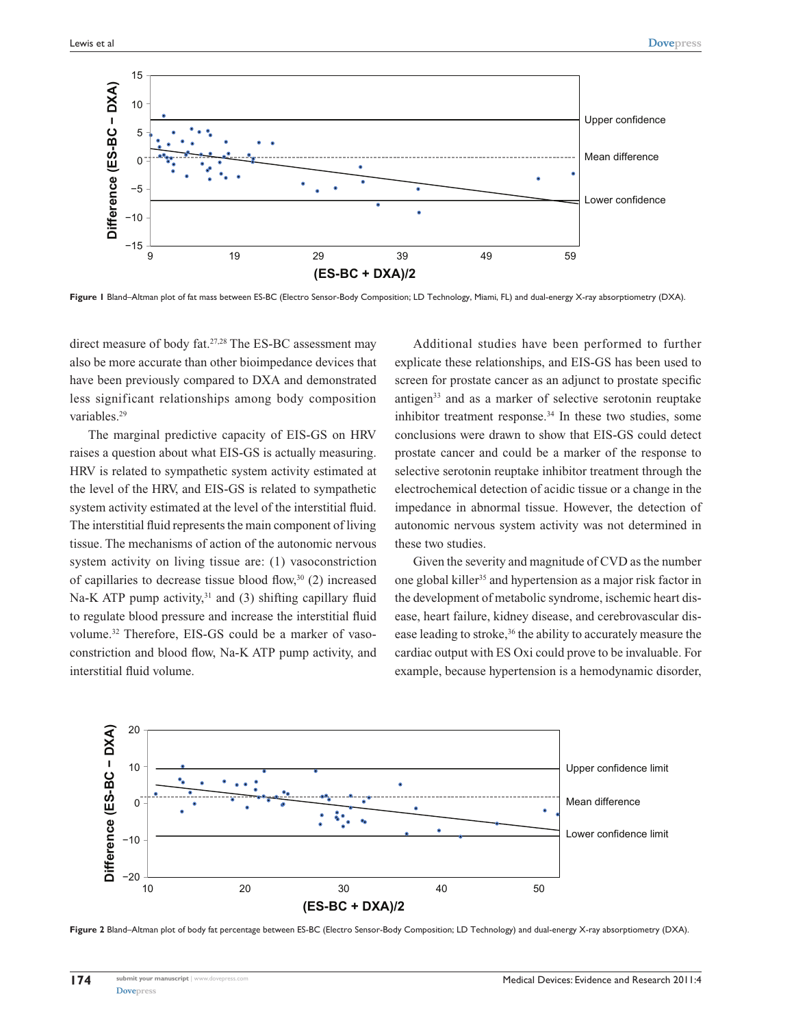

**Figure 1** Bland–Altman plot of fat mass between ES-BC (Electro Sensor-Body Composition; LD Technology, Miami, FL) and dual-energy X-ray absorptiometry (DXA).

direct measure of body fat.<sup>27,28</sup> The ES-BC assessment may also be more accurate than other bioimpedance devices that have been previously compared to DXA and demonstrated less significant relationships among body composition variables.<sup>29</sup>

The marginal predictive capacity of EIS-GS on HRV raises a question about what EIS-GS is actually measuring. HRV is related to sympathetic system activity estimated at the level of the HRV, and EIS-GS is related to sympathetic system activity estimated at the level of the interstitial fluid. The interstitial fluid represents the main component of living tissue. The mechanisms of action of the autonomic nervous system activity on living tissue are: (1) vasoconstriction of capillaries to decrease tissue blood flow, $30(2)$  increased Na-K ATP pump activity, $31$  and (3) shifting capillary fluid to regulate blood pressure and increase the interstitial fluid volume.32 Therefore, EIS-GS could be a marker of vasoconstriction and blood flow, Na-K ATP pump activity, and interstitial fluid volume.

Additional studies have been performed to further explicate these relationships, and EIS-GS has been used to screen for prostate cancer as an adjunct to prostate specific antigen<sup>33</sup> and as a marker of selective serotonin reuptake inhibitor treatment response.<sup>34</sup> In these two studies, some conclusions were drawn to show that EIS-GS could detect prostate cancer and could be a marker of the response to selective serotonin reuptake inhibitor treatment through the electrochemical detection of acidic tissue or a change in the impedance in abnormal tissue. However, the detection of autonomic nervous system activity was not determined in these two studies.

Given the severity and magnitude of CVD as the number one global killer<sup>35</sup> and hypertension as a major risk factor in the development of metabolic syndrome, ischemic heart disease, heart failure, kidney disease, and cerebrovascular disease leading to stroke,<sup>36</sup> the ability to accurately measure the cardiac output with ES Oxi could prove to be invaluable. For example, because hypertension is a hemodynamic disorder,



**Figure 2** Bland–Altman plot of body fat percentage between ES-BC (Electro Sensor-Body Composition; LD Technology) and dual-energy X-ray absorptiometry (DXA).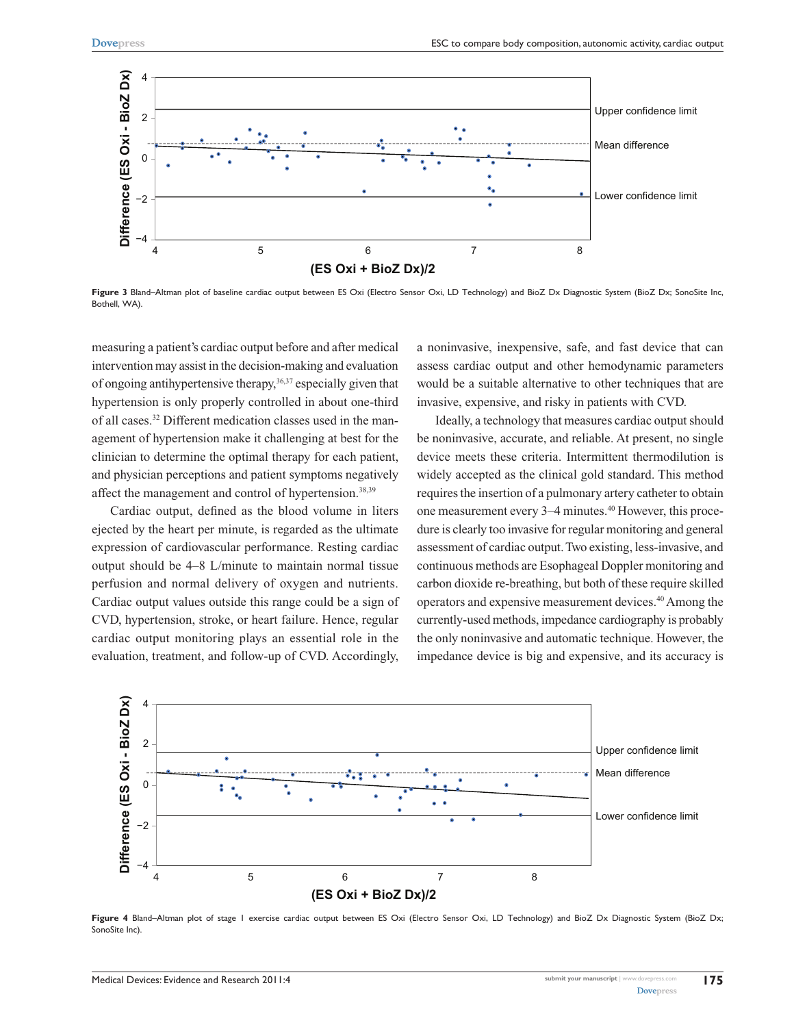

**Figure 3** Bland–Altman plot of baseline cardiac output between ES Oxi (Electro Sensor Oxi, LD Technology) and BioZ Dx Diagnostic System (BioZ Dx; SonoSite Inc, Bothell, WA).

measuring a patient's cardiac output before and after medical intervention may assist in the decision-making and evaluation of ongoing antihypertensive therapy,36,37 especially given that hypertension is only properly controlled in about one-third of all cases.32 Different medication classes used in the management of hypertension make it challenging at best for the clinician to determine the optimal therapy for each patient, and physician perceptions and patient symptoms negatively affect the management and control of hypertension.<sup>38,39</sup>

Cardiac output, defined as the blood volume in liters ejected by the heart per minute, is regarded as the ultimate expression of cardiovascular performance. Resting cardiac output should be 4–8 L/minute to maintain normal tissue perfusion and normal delivery of oxygen and nutrients. Cardiac output values outside this range could be a sign of CVD, hypertension, stroke, or heart failure. Hence, regular cardiac output monitoring plays an essential role in the evaluation, treatment, and follow-up of CVD. Accordingly,

a noninvasive, inexpensive, safe, and fast device that can assess cardiac output and other hemodynamic parameters would be a suitable alternative to other techniques that are invasive, expensive, and risky in patients with CVD.

Ideally, a technology that measures cardiac output should be noninvasive, accurate, and reliable. At present, no single device meets these criteria. Intermittent thermodilution is widely accepted as the clinical gold standard. This method requires the insertion of a pulmonary artery catheter to obtain one measurement every 3–4 minutes.40 However, this procedure is clearly too invasive for regular monitoring and general assessment of cardiac output. Two existing, less-invasive, and continuous methods are Esophageal Doppler monitoring and carbon dioxide re-breathing, but both of these require skilled operators and expensive measurement devices.40 Among the currently-used methods, impedance cardiography is probably the only noninvasive and automatic technique. However, the impedance device is big and expensive, and its accuracy is



**Figure 4** Bland–Altman plot of stage 1 exercise cardiac output between ES Oxi (Electro Sensor Oxi, LD Technology) and BioZ Dx Diagnostic System (BioZ Dx; SonoSite Inc).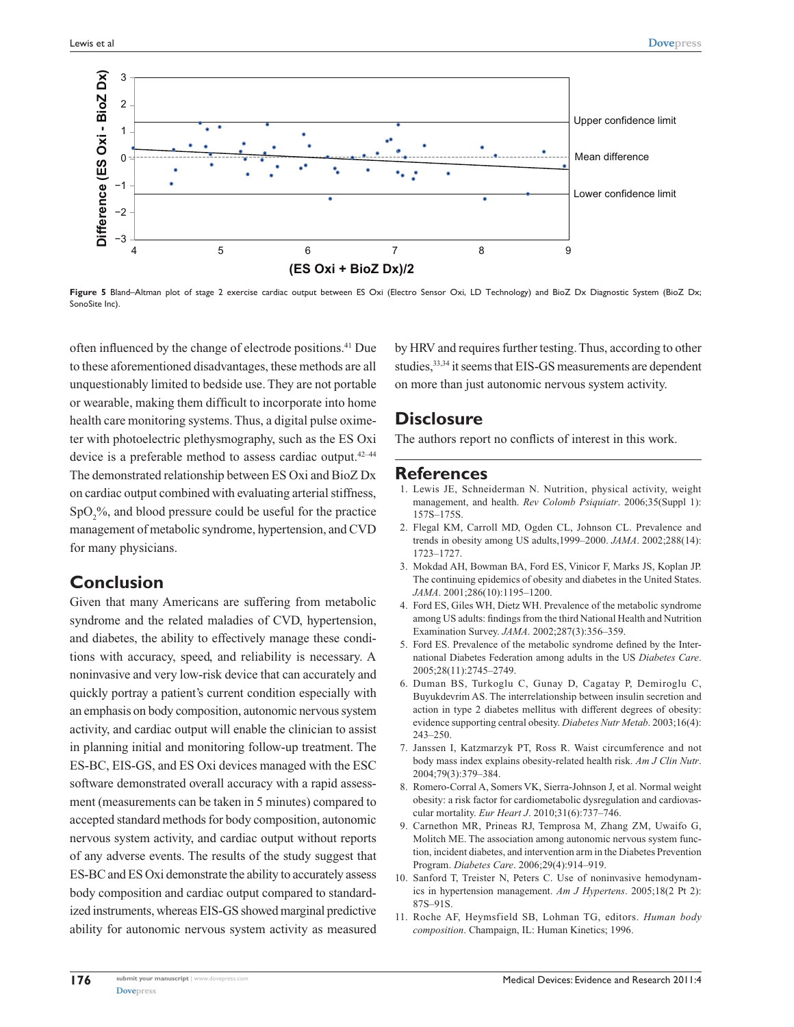

**Figure 5** Bland–Altman plot of stage 2 exercise cardiac output between ES Oxi (Electro Sensor Oxi, LD Technology) and BioZ Dx Diagnostic System (BioZ Dx; SonoSite Inc).

often influenced by the change of electrode positions.41 Due to these aforementioned disadvantages, these methods are all unquestionably limited to bedside use. They are not portable or wearable, making them difficult to incorporate into home health care monitoring systems. Thus, a digital pulse oximeter with photoelectric plethysmography, such as the ES Oxi device is a preferable method to assess cardiac output.<sup>42-44</sup> The demonstrated relationship between ES Oxi and BioZ Dx on cardiac output combined with evaluating arterial stiffness, SpO<sub>2</sub>%, and blood pressure could be useful for the practice management of metabolic syndrome, hypertension, and CVD for many physicians.

# **Conclusion**

Given that many Americans are suffering from metabolic syndrome and the related maladies of CVD, hypertension, and diabetes, the ability to effectively manage these conditions with accuracy, speed, and reliability is necessary. A noninvasive and very low-risk device that can accurately and quickly portray a patient's current condition especially with an emphasis on body composition, autonomic nervous system activity, and cardiac output will enable the clinician to assist in planning initial and monitoring follow-up treatment. The ES-BC, EIS-GS, and ES Oxi devices managed with the ESC software demonstrated overall accuracy with a rapid assessment (measurements can be taken in 5 minutes) compared to accepted standard methods for body composition, autonomic nervous system activity, and cardiac output without reports of any adverse events. The results of the study suggest that ES-BC and ES Oxi demonstrate the ability to accurately assess body composition and cardiac output compared to standardized instruments, whereas EIS-GS showed marginal predictive ability for autonomic nervous system activity as measured by HRV and requires further testing. Thus, according to other studies, 33,34 it seems that EIS-GS measurements are dependent on more than just autonomic nervous system activity.

# **Disclosure**

The authors report no conflicts of interest in this work.

## **References**

- 1. Lewis JE, Schneiderman N. Nutrition, physical activity, weight management, and health. *Rev Colomb Psiquiatr*. 2006;35(Suppl 1): 157S–175S.
- 2. Flegal KM, Carroll MD, Ogden CL, Johnson CL. Prevalence and trends in obesity among US adults,1999–2000. *JAMA*. 2002;288(14): 1723–1727.
- 3. Mokdad AH, Bowman BA, Ford ES, Vinicor F, Marks JS, Koplan JP. The continuing epidemics of obesity and diabetes in the United States. *JAMA*. 2001;286(10):1195–1200.
- 4. Ford ES, Giles WH, Dietz WH. Prevalence of the metabolic syndrome among US adults: findings from the third National Health and Nutrition Examination Survey. *JAMA*. 2002;287(3):356–359.
- 5. Ford ES. Prevalence of the metabolic syndrome defined by the International Diabetes Federation among adults in the US *Diabetes Care*. 2005;28(11):2745–2749.
- 6. Duman BS, Turkoglu C, Gunay D, Cagatay P, Demiroglu C, Buyukdevrim AS. The interrelationship between insulin secretion and action in type 2 diabetes mellitus with different degrees of obesity: evidence supporting central obesity. *Diabetes Nutr Metab*. 2003;16(4): 243–250.
- 7. Janssen I, Katzmarzyk PT, Ross R. Waist circumference and not body mass index explains obesity-related health risk. *Am J Clin Nutr*. 2004;79(3):379–384.
- 8. Romero-Corral A, Somers VK, Sierra-Johnson J, et al. Normal weight obesity: a risk factor for cardiometabolic dysregulation and cardiovascular mortality. *Eur Heart J*. 2010;31(6):737–746.
- 9. Carnethon MR, Prineas RJ, Temprosa M, Zhang ZM, Uwaifo G, Molitch ME. The association among autonomic nervous system function, incident diabetes, and intervention arm in the Diabetes Prevention Program. *Diabetes Care*. 2006;29(4):914–919.
- 10. Sanford T, Treister N, Peters C. Use of noninvasive hemodynamics in hypertension management. *Am J Hypertens*. 2005;18(2 Pt 2): 87S–91S.
- 11. Roche AF, Heymsfield SB, Lohman TG, editors. *Human body composition*. Champaign, IL: Human Kinetics; 1996.